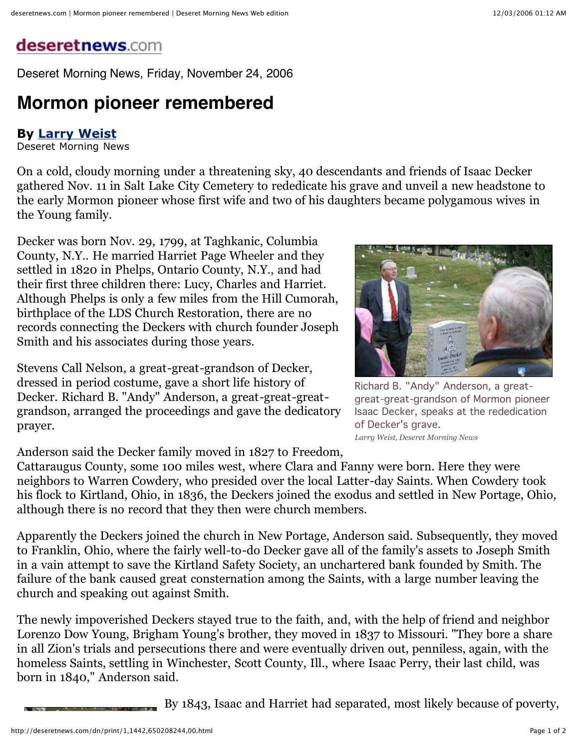## deseretnews.com

Deseret Morning News, Friday, November 24, 2006

## **Mormon pioneer remembered**

## **By Larry Weist**

Deseret Morning News

On a cold, cloudy morning under a threatening sky, 40 descendants and friends of Isaac Decker gathered Nov. 11 in Salt Lake City Cemetery to rededicate his grave and unveil a new headstone to the early Mormon pioneer whose first wife and two of his daughters became polygamous wives in the Young family.

Decker was born Nov. 29, 1799, at Taghkanic, Columbia County, N.Y.. He married Harriet Page Wheeler and they settled in 1820 in Phelps, Ontario County, N.Y., and had their first three children there: Lucy, Charles and Harriet. Although Phelps is only a few miles from the Hill Cumorah, birthplace of the LDS Church Restoration, there are no records connecting the Deckers with church founder Joseph Smith and his associates during those years.

Stevens Call Nelson, a great-great-grandson of Decker, dressed in period costume, gave a short life history of Decker. Richard B. "Andy" Anderson, a great-great-greatgrandson, arranged the proceedings and gave the dedicatory prayer.

Anderson said the Decker family moved in 1827 to Freedom,

Cattaraugus County, some 100 miles west, where Clara and Fanny were born. Here they were neighbors to Warren Cowdery, who presided over the local Latter-day Saints. When Cowdery took his flock to Kirtland, Ohio, in 1836, the Deckers joined the exodus and settled in New Portage, Ohio, although there is no record that they then were church members.

Apparently the Deckers joined the church in New Portage, Anderson said. Subsequently, they moved to Franklin, Ohio, where the fairly well-to-do Decker gave all of the family's assets to Joseph Smith in a vain attempt to save the Kirtland Safety Society, an unchartered bank founded by Smith. The failure of the bank caused great consternation among the Saints, with a large number leaving the church and speaking out against Smith.

The newly impoverished Deckers stayed true to the faith, and, with the help of friend and neighbor Lorenzo Dow Young, Brigham Young's brother, they moved in 1837 to Missouri. "They bore a share in all Zion's trials and persecutions there and were eventually driven out, penniless, again, with the homeless Saints, settling in Winchester, Scott County, Ill., where Isaac Perry, their last child, was born in 1840," Anderson said.

By 1843, Isaac and Harriet had separated, most likely because of poverty,



Richard B. "Andy" Anderson, a greatgreat-great-grandson of Mormon pioneer Isaac Decker, speaks at the rededication of Decker's grave. *Larry Weist, Deseret Morning News*